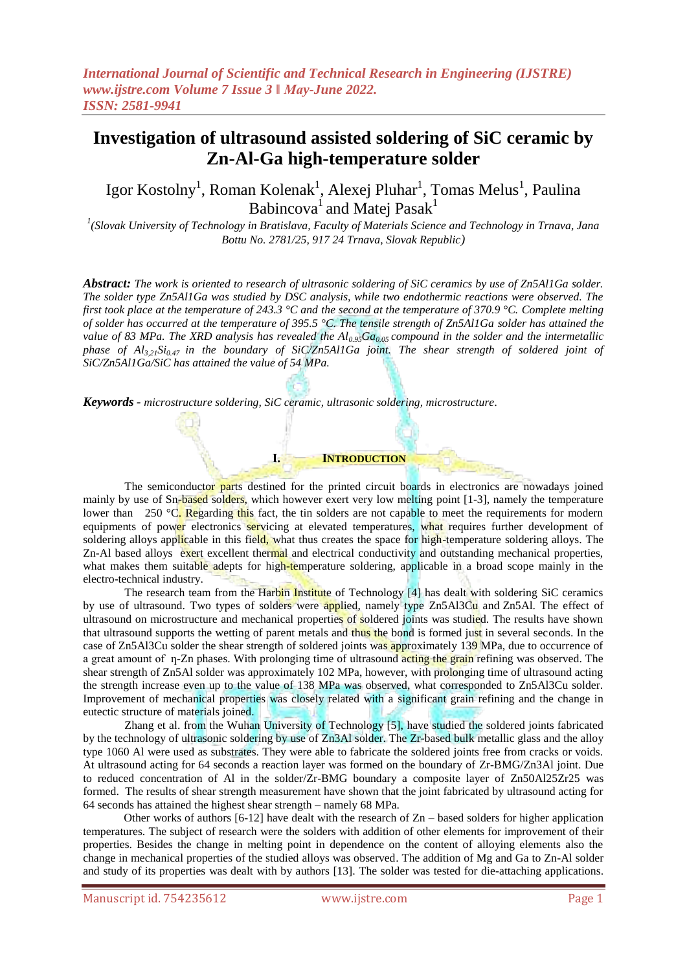# **Investigation of ultrasound assisted soldering of SiC ceramic by Zn-Al-Ga high-temperature solder**

Igor Kostolny<sup>1</sup>, Roman Kolenak<sup>1</sup>, Alexej Pluhar<sup>1</sup>, Tomas Melus<sup>1</sup>, Paulina Babincova $^1$  and Matej Pasak $^1$ 

*1 (Slovak University of Technology in Bratislava, Faculty of Materials Science and Technology in Trnava, Jana Bottu No. 2781/25, 917 24 Trnava, Slovak Republic)*

*Abstract: The work is oriented to research of ultrasonic soldering of SiC ceramics by use of Zn5Al1Ga solder. The solder type Zn5Al1Ga was studied by DSC analysis, while two endothermic reactions were observed. The first took place at the temperature of 243.3 °C and the second at the temperature of 370.9 °C. Complete melting of solder has occurred at the temperature of 395.5 °C. The tensile strength of Zn5Al1Ga solder has attained the value of 83 MPa. The XRD analysis has revealed the Al0.95Ga0.05 compound in the solder and the intermetallic phase of Al3,21Si0.47 in the boundary of SiC/Zn5Al1Ga joint. The shear strength of soldered joint of SiC/Zn5Al1Ga/SiC has attained the value of 54 MPa.*

*Keywords - microstructure soldering, SiC ceramic, ultrasonic soldering, microstructure.*

The semiconductor parts destined for the printed circuit boards in electronics are nowadays joined mainly by use of Sn-based solders, which however exert very low melting point [1-3], namely the temperature lower than 250  $\degree$ C. Regarding this fact, the tin solders are not capable to meet the requirements for modern equipments of power electronics servicing at elevated temperatures, what requires further development of soldering alloys applicable in this field, what thus creates the space for high-temperature soldering alloys. The Zn-Al based alloys exert excellent thermal and electrical conductivity and outstanding mechanical properties, what makes them suitable adepts for high-temperature soldering, applicable in a broad scope mainly in the electro-technical industry.

**I. INTRODUCTION**

The research team from the Harbin Institute of Technology [4] has dealt with soldering SiC ceramics by use of ultrasound. Two types of solders were applied, namely type Zn5Al3Cu and Zn5Al. The effect of ultrasound on microstructure and mechanical properties of soldered joints was studied. The results have shown that ultrasound supports the wetting of parent metals and thus the bond is formed just in several seconds. In the case of Zn5Al3Cu solder the shear strength of soldered joints was approximately 139 MPa, due to occurrence of a great amount of  $\eta$ -Zn phases. With prolonging time of ultrasound acting the grain refining was observed. The shear strength of Zn5Al solder was approximately 102 MPa, however, with prolonging time of ultrasound acting the strength increase even up to the value of 138 MPa was observed, what corresponded to Zn5Al3Cu solder. Improvement of mechanical properties was closely related with a significant grain refining and the change in eutectic structure of materials joined.

Zhang et al. from the Wuhan University of Technology [5], have studied the soldered joints fabricated by the technology of ultrasonic soldering by use of Zn3Al solder. The Zr-based bulk metallic glass and the alloy type 1060 Al were used as substrates. They were able to fabricate the soldered joints free from cracks or voids. At ultrasound acting for 64 seconds a reaction layer was formed on the boundary of Zr-BMG/Zn3Al joint. Due to reduced concentration of Al in the solder/Zr-BMG boundary a composite layer of Zn50Al25Zr25 was formed. The results of shear strength measurement have shown that the joint fabricated by ultrasound acting for 64 seconds has attained the highest shear strength – namely 68 MPa.

Other works of authors  $[6-12]$  have dealt with the research of  $Zn -$  based solders for higher application temperatures. The subject of research were the solders with addition of other elements for improvement of their properties. Besides the change in melting point in dependence on the content of alloying elements also the change in mechanical properties of the studied alloys was observed. The addition of Mg and Ga to Zn-Al solder and study of its properties was dealt with by authors [13]. The solder was tested for die-attaching applications.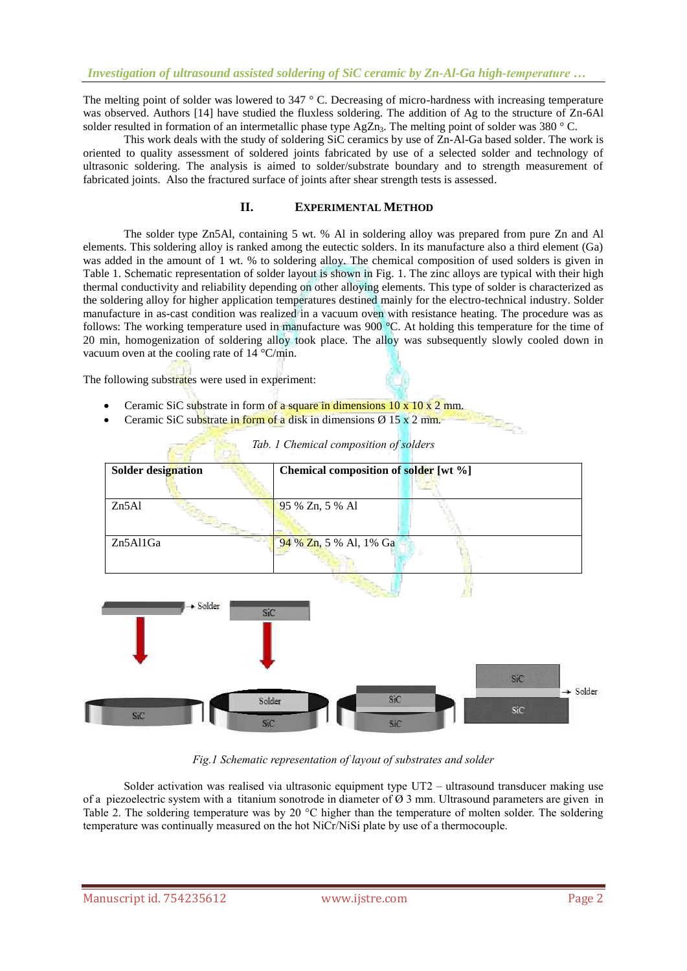The melting point of solder was lowered to  $347 \degree$  C. Decreasing of micro-hardness with increasing temperature was observed. Authors [14] have studied the fluxless soldering. The addition of Ag to the structure of Zn-6Al solder resulted in formation of an intermetallic phase type  $AgZn_3$ . The melting point of solder was 380 ° C.

This work deals with the study of soldering SiC ceramics by use of Zn-Al-Ga based solder. The work is oriented to quality assessment of soldered joints fabricated by use of a selected solder and technology of ultrasonic soldering. The analysis is aimed to solder/substrate boundary and to strength measurement of fabricated joints. Also the fractured surface of joints after shear strength tests is assessed.

#### **II. EXPERIMENTAL METHOD**

The solder type Zn5Al, containing 5 wt. % Al in soldering alloy was prepared from pure Zn and Al elements. This soldering alloy is ranked among the eutectic solders. In its manufacture also a third element (Ga) was added in the amount of 1 wt. % to soldering alloy. The chemical composition of used solders is given in Table 1. Schematic representation of solder layout is shown in Fig. 1. The zinc alloys are typical with their high thermal conductivity and reliability depending on other alloying elements. This type of solder is characterized as the soldering alloy for higher application temperatures destined mainly for the electro-technical industry. Solder manufacture in as-cast condition was realized in a vacuum oven with resistance heating. The procedure was as follows: The working temperature used in manufacture was 900 °C. At holding this temperature for the time of 20 min, homogenization of soldering alloy took place. The alloy was subsequently slowly cooled down in vacuum oven at the cooling rate of 14 °C/min.

The following substrates were used in experiment:

- Ceramic SiC substrate in form of a square in dimensions  $10 \times 10 \times 2$  mm.
- Ceramic SiC substrate in form of a disk in dimensions  $\varnothing$  15 x 2 mm.



*Tab. 1 Chemical composition of solders*

**Separate** 

*Fig.1 Schematic representation of layout of substrates and solder*

Solder activation was realised via ultrasonic equipment type UT2 – ultrasound transducer making use of a piezoelectric system with a titanium sonotrode in diameter of  $\varnothing$  3 mm. Ultrasound parameters are given in Table 2. The soldering temperature was by 20 °C higher than the temperature of molten solder. The soldering temperature was continually measured on the hot NiCr/NiSi plate by use of a thermocouple.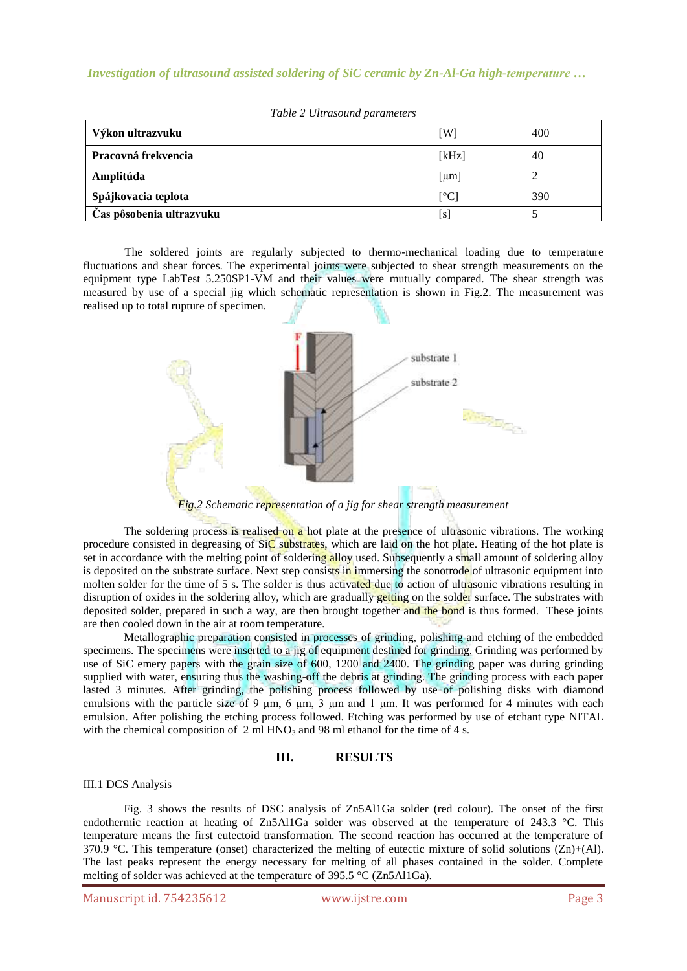| Výkon ultrazvuku         | [W]                      | 400 |
|--------------------------|--------------------------|-----|
| Pracovná frekvencia      | [kHz]                    | 40  |
| Amplitúda                | [µm]                     |     |
| Spájkovacia teplota      | $\lceil$ <sup>o</sup> Cl | 390 |
| Čas pôsobenia ultrazvuku | [s]                      |     |

The soldered joints are regularly subjected to thermo-mechanical loading due to temperature fluctuations and shear forces. The experimental joints were subjected to shear strength measurements on the equipment type LabTest 5.250SP1-VM and their values were mutually compared. The shear strength was measured by use of a special jig which schematic representation is shown in Fig.2. The measurement was realised up to total rupture of specimen.



*Fig.2 Schematic representation of a jig for shear strength measurement*

The soldering process is realised on a hot plate at the presence of ultrasonic vibrations. The working procedure consisted in degreasing of  $SiC$  substrates, which are laid on the hot plate. Heating of the hot plate is set in accordance with the melting point of soldering alloy used. Subsequently a small amount of soldering alloy is deposited on the substrate surface. Next step consists in immersing the sonotrode of ultrasonic equipment into molten solder for the time of 5 s. The solder is thus activated due to action of ultrasonic vibrations resulting in disruption of oxides in the soldering alloy, which are gradually getting on the solder surface. The substrates with deposited solder, prepared in such a way, are then brought together and the bond is thus formed. These joints are then cooled down in the air at room temperature.

Metallographic preparation consisted in processes of grinding, polishing and etching of the embedded specimens. The specimens were inserted to a jig of equipment destined for grinding. Grinding was performed by use of SiC emery papers with the grain size of 600, 1200 and 2400. The grinding paper was during grinding supplied with water, ensuring thus the washing-off the debris at grinding. The grinding process with each paper lasted 3 minutes. After grinding, the polishing process followed by use of polishing disks with diamond emulsions with the particle size of 9 μm, 6 μm, 3 μm and 1 μm. It was performed for 4 minutes with each emulsion. After polishing the etching process followed. Etching was performed by use of etchant type NITAL with the chemical composition of  $2 \text{ ml HNO}_3$  and 98 ml ethanol for the time of 4 s.

## **III. RESULTS**

#### III.1 DCS Analysis

Fig. 3 shows the results of DSC analysis of Zn5Al1Ga solder (red colour). The onset of the first endothermic reaction at heating of Zn5Al1Ga solder was observed at the temperature of 243.3 °C. This temperature means the first eutectoid transformation. The second reaction has occurred at the temperature of 370.9 °C. This temperature (onset) characterized the melting of eutectic mixture of solid solutions (Zn)+(Al). The last peaks represent the energy necessary for melting of all phases contained in the solder. Complete melting of solder was achieved at the temperature of 395.5 °C (Zn5Al1Ga).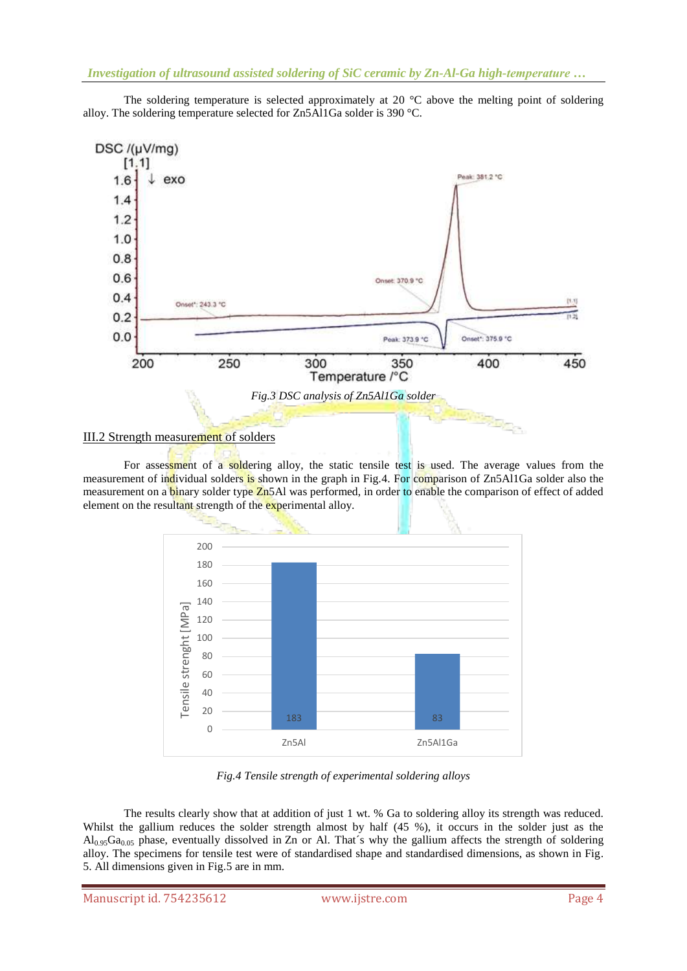DSC /(µV/mg)  $[1.1]$ ak: 381.2 °C 1.6 exo 1.4  $1.2$  $1.0$  $0.8$  $0.6$ Onset: 370.9 °C  $0.4$ Onset\*: 243.3 °C  $0.2$  $0.0$ Onset": 375.9 °C Peak: 373.9 °C 400 200 250 300 350 450 Temperature /°C *Fig.3 DSC analysis of Zn5Al1Ga solder*

The soldering temperature is selected approximately at 20  $^{\circ}$ C above the melting point of soldering alloy. The soldering temperature selected for Zn5Al1Ga solder is 390 °C.

### III.2 Strength measurement of solders

For assessment of a soldering alloy, the static tensile test is used. The average values from the measurement of individual solders is shown in the graph in Fig.4. For comparison of Zn5Al1Ga solder also the measurement on a **binary** solder type **Zn5Al** was performed, in order to enable the comparison of effect of added element on the resultant strength of the experimental alloy.

**House** 



*Fig.4 Tensile strength of experimental soldering alloys*

The results clearly show that at addition of just 1 wt. % Ga to soldering alloy its strength was reduced. Whilst the gallium reduces the solder strength almost by half (45 %), it occurs in the solder just as the  $Al_{0.95}Ga_{0.05}$  phase, eventually dissolved in Zn or Al. That's why the gallium affects the strength of soldering alloy. The specimens for tensile test were of standardised shape and standardised dimensions, as shown in Fig. 5. All dimensions given in Fig.5 are in mm.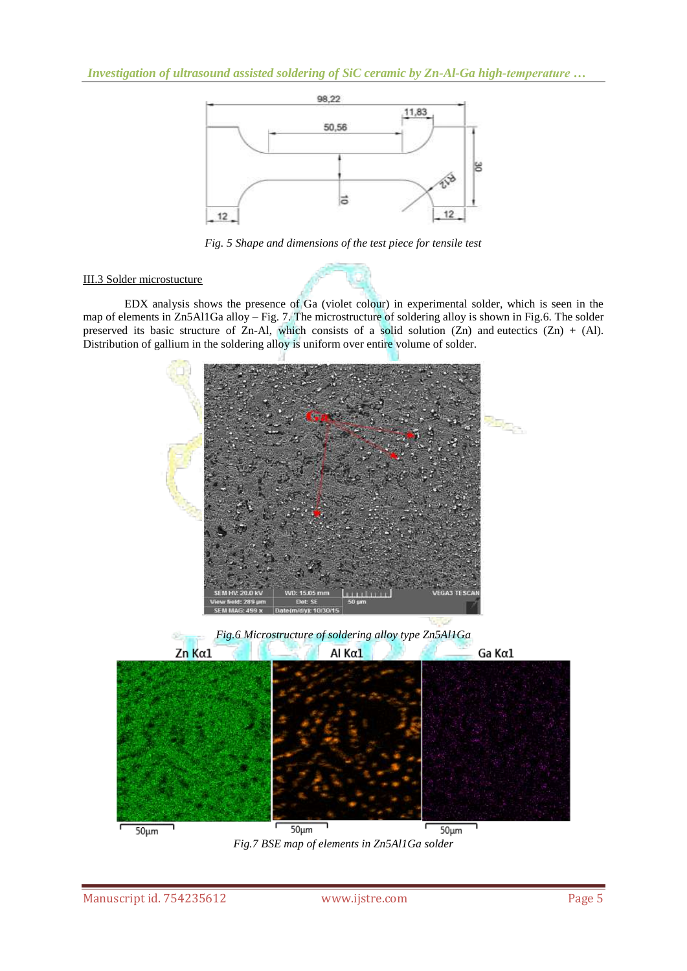*Investigation of ultrasound assisted soldering of SiC ceramic by Zn-Al-Ga high-temperature …*



*Fig. 5 Shape and dimensions of the test piece for tensile test*

## III.3 Solder microstucture

EDX analysis shows the presence of Ga (violet colour) in experimental solder, which is seen in the map of elements in Zn5Al1Ga alloy – Fig. 7. The microstructure of soldering alloy is shown in Fig.6. The solder preserved its basic structure of Zn-Al, which consists of a solid solution (Zn) and eutectics (Zn) + (Al). Distribution of gallium in the soldering alloy is uniform over entire volume of solder.



*Fig.6 Microstructure of soldering alloy type Zn5Al1Ga*



*Fig.7 BSE map of elements in Zn5Al1Ga solder*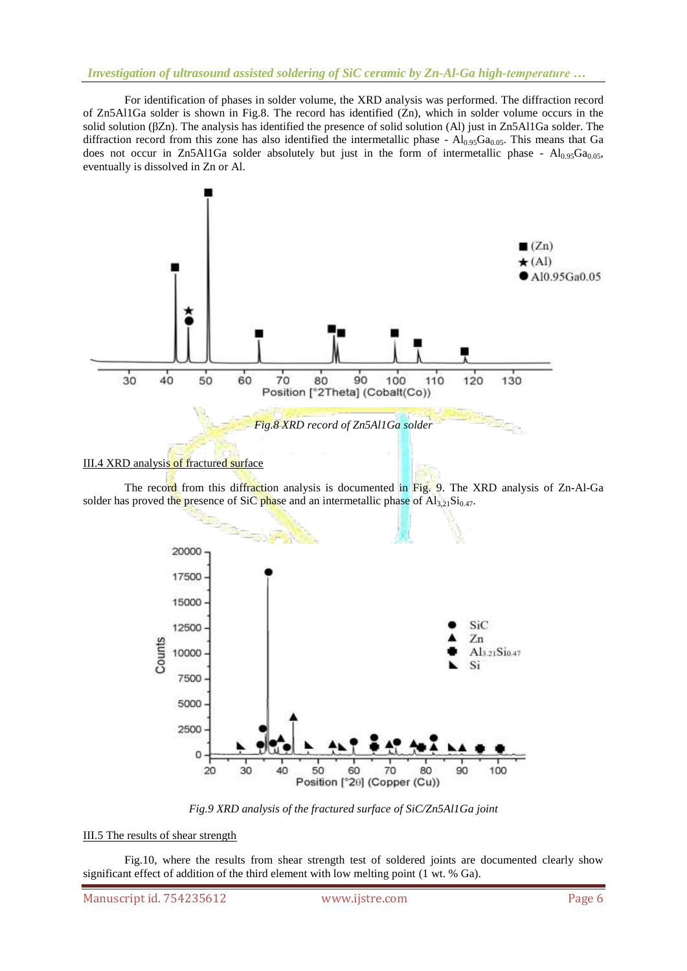## *Investigation of ultrasound assisted soldering of SiC ceramic by Zn-Al-Ga high-temperature …*

For identification of phases in solder volume, the XRD analysis was performed. The diffraction record of Zn5Al1Ga solder is shown in Fig.8. The record has identified (Zn), which in solder volume occurs in the solid solution (βZn). The analysis has identified the presence of solid solution (Al) just in Zn5Al1Ga solder. The diffraction record from this zone has also identified the intermetallic phase -  $Al_{0.95}Ga_{0.05}$ . This means that Ga does not occur in Zn5Al1Ga solder absolutely but just in the form of intermetallic phase -  $Al_{0.95}Ga_{0.05}$ , eventually is dissolved in Zn or Al.



#### III.4 XRD analysis of fractured surface

The record from this diffraction analysis is documented in Fig. 9. The XRD analysis of Zn-Al-Ga solder has proved the presence of SiC phase and an intermetallic phase of  $\text{Al}_{3,21}\text{Si}_{0,47}$ .

æ,



*Fig.9 XRD analysis of the fractured surface of SiC/Zn5Al1Ga joint*

#### III.5 The results of shear strength

Fig.10, where the results from shear strength test of soldered joints are documented clearly show significant effect of addition of the third element with low melting point (1 wt. % Ga).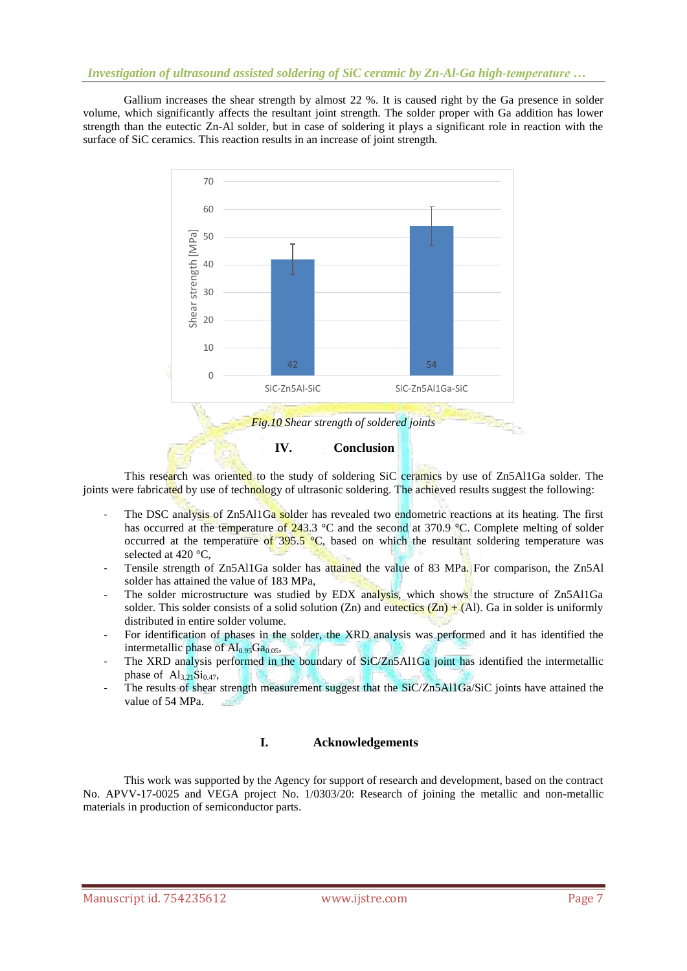Gallium increases the shear strength by almost 22 %. It is caused right by the Ga presence in solder volume, which significantly affects the resultant joint strength. The solder proper with Ga addition has lower strength than the eutectic Zn-Al solder, but in case of soldering it plays a significant role in reaction with the surface of SiC ceramics. This reaction results in an increase of joint strength.



This research was oriented to the study of soldering SiC ceramics by use of Zn5Al1Ga solder. The joints were fabricated by use of technology of ultrasonic soldering. The achieved results suggest the following:

- The DSC analysis of Zn5Al1Ga solder has revealed two endometric reactions at its heating. The first has occurred at the temperature of  $243.3 \degree C$  and the second at 370.9  $\degree C$ . Complete melting of solder occurred at the temperature of  $395.5$  °C, based on which the resultant soldering temperature was selected at 420 °C,
- Tensile strength of Zn5Al1Ga solder has attained the value of 83 MPa. For comparison, the Zn5Al solder has attained the value of 183 MPa,
- The solder microstructure was studied by EDX analysis, which shows the structure of Zn5Al1Ga solder. This solder consists of a solid solution (Zn) and eutectics  $(Zn) + (Al)$ . Ga in solder is uniformly distributed in entire solder volume.
- For identification of phases in the solder, the XRD analysis was performed and it has identified the intermetallic phase of  $Al_{0.95}Ga_{0.05}$ ,
- The XRD analysis performed in the boundary of SiC/Zn5Al1Ga joint has identified the intermetallic phase of  $\text{Al}_{3,21}\text{Si}_{0.47}$ ,
- The results of shear strength measurement suggest that the SiC/Zn5Al1Ga/SiC joints have attained the value of 54 MPa. المتور

## **I. Acknowledgements**

This work was supported by the Agency for support of research and development, based on the contract No. APVV-17-0025 and VEGA project No. 1/0303/20: Research of joining the metallic and non-metallic materials in production of semiconductor parts.